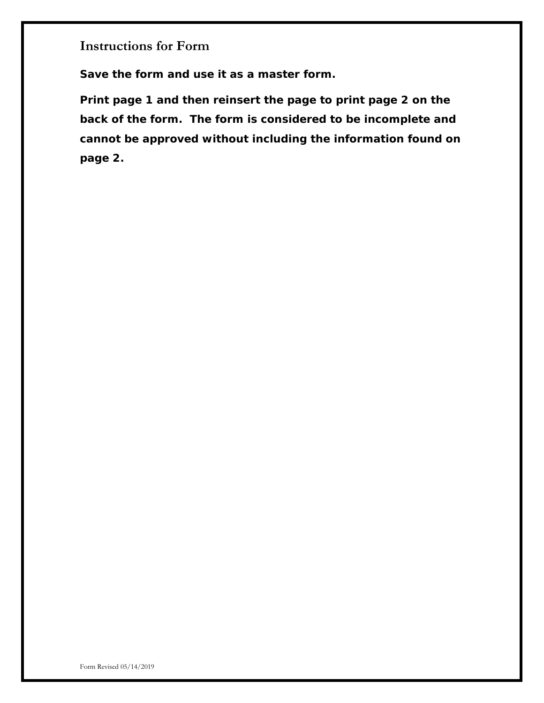**Instructions for Form**

**Save the form and use it as a master form.**

**Print page 1 and then reinsert the page to print page 2 on the back of the form. The form is considered to be incomplete and cannot be approved without including the information found on page 2.**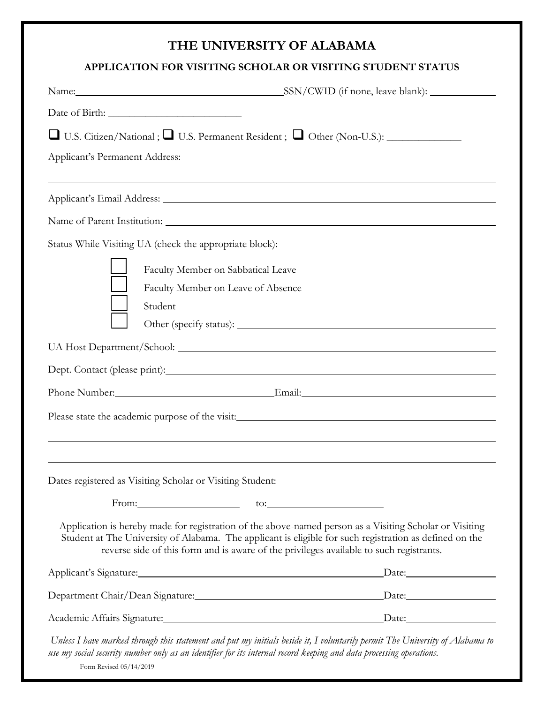## **THE UNIVERSITY OF ALABAMA**

## **APPLICATION FOR VISITING SCHOLAR OR VISITING STUDENT STATUS**

|                                                                                                                     | Name: SSN/CWID (if none, leave blank):                                                                                                                                                                                                                                                                        |
|---------------------------------------------------------------------------------------------------------------------|---------------------------------------------------------------------------------------------------------------------------------------------------------------------------------------------------------------------------------------------------------------------------------------------------------------|
|                                                                                                                     |                                                                                                                                                                                                                                                                                                               |
| □ U.S. Citizen/National; □ U.S. Permanent Resident; □ Other (Non-U.S.): _____________                               |                                                                                                                                                                                                                                                                                                               |
|                                                                                                                     |                                                                                                                                                                                                                                                                                                               |
|                                                                                                                     |                                                                                                                                                                                                                                                                                                               |
|                                                                                                                     |                                                                                                                                                                                                                                                                                                               |
|                                                                                                                     |                                                                                                                                                                                                                                                                                                               |
| Status While Visiting UA (check the appropriate block):                                                             |                                                                                                                                                                                                                                                                                                               |
| Faculty Member on Sabbatical Leave                                                                                  |                                                                                                                                                                                                                                                                                                               |
| Faculty Member on Leave of Absence                                                                                  |                                                                                                                                                                                                                                                                                                               |
| Student                                                                                                             |                                                                                                                                                                                                                                                                                                               |
|                                                                                                                     |                                                                                                                                                                                                                                                                                                               |
|                                                                                                                     |                                                                                                                                                                                                                                                                                                               |
| Dept. Contact (please print): Manual Contract (please print):                                                       |                                                                                                                                                                                                                                                                                                               |
|                                                                                                                     |                                                                                                                                                                                                                                                                                                               |
| Please state the academic purpose of the visit: Manual Allen Contract of the visit:                                 |                                                                                                                                                                                                                                                                                                               |
|                                                                                                                     |                                                                                                                                                                                                                                                                                                               |
|                                                                                                                     |                                                                                                                                                                                                                                                                                                               |
| Dates registered as Visiting Scholar or Visiting Student:                                                           |                                                                                                                                                                                                                                                                                                               |
| From: $\qquad \qquad \text{to:}$ $\qquad \qquad$                                                                    |                                                                                                                                                                                                                                                                                                               |
|                                                                                                                     | Application is hereby made for registration of the above-named person as a Visiting Scholar or Visiting<br>Student at The University of Alabama. The applicant is eligible for such registration as defined on the<br>reverse side of this form and is aware of the privileges available to such registrants. |
|                                                                                                                     | Applicant's Signature: Date: Date: Date:                                                                                                                                                                                                                                                                      |
|                                                                                                                     | Department Chair/Dean Signature: Department Chair/Dean Signature: Date:                                                                                                                                                                                                                                       |
|                                                                                                                     | Academic Affairs Signature: Date: Date:                                                                                                                                                                                                                                                                       |
| use my social security number only as an identifier for its internal record keeping and data processing operations. | Unless I have marked through this statement and put my initials beside it, I voluntarily permit The University of Alabama to                                                                                                                                                                                  |

Form Revised 05/14/2019